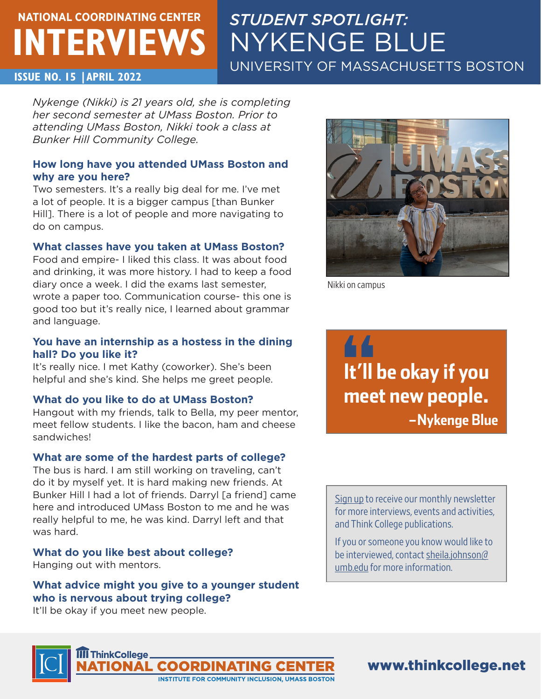# **NATIONAL COORDINATING CENTER INTERVIEWS**

# *STUDENT SPOTLIGHT:*  NYKENGE BLUE UNIVERSITY OF MASSACHUSETTS BOSTON

#### **ISSUE NO. 15 |APRIL 2022**

*Nykenge (Nikki) is 21 years old, she is completing her second semester at UMass Boston. Prior to attending UMass Boston, Nikki took a class at Bunker Hill Community College.*

#### **How long have you attended UMass Boston and why are you here?**

Two semesters. It's a really big deal for me. I've met a lot of people. It is a bigger campus [than Bunker Hill]. There is a lot of people and more navigating to do on campus.

#### **What classes have you taken at UMass Boston?**

Food and empire- I liked this class. It was about food and drinking, it was more history. I had to keep a food diary once a week. I did the exams last semester, wrote a paper too. Communication course- this one is good too but it's really nice, I learned about grammar and language.

#### **You have an internship as a hostess in the dining hall? Do you like it?**

It's really nice. I met Kathy (coworker). She's been helpful and she's kind. She helps me greet people.

#### **What do you like to do at UMass Boston?**

Hangout with my friends, talk to Bella, my peer mentor, meet fellow students. I like the bacon, ham and cheese sandwiches!

#### **What are some of the hardest parts of college?**

The bus is hard. I am still working on traveling, can't do it by myself yet. It is hard making new friends. At Bunker Hill I had a lot of friends. Darryl [a friend] came here and introduced UMass Boston to me and he was really helpful to me, he was kind. Darryl left and that was hard.

#### **What do you like best about college?**

Hanging out with mentors.

**What advice might you give to a younger student who is nervous about trying college?**

It'll be okay if you meet new people.

**II ThinkCollege** 



Nikki on campus

44 **It'll be okay if you meet new people. –Nykenge Blue**

[Sign up](https://thinkcollege.net/about/contact-us) to receive our monthly newsletter for more interviews, events and activities, and Think College publications.

If you or someone you know would like to be interviewed, contact [sheila.johnson@](mailto:sheila.johnson%40umb.edu?subject=) [umb.edu](mailto:sheila.johnson%40umb.edu?subject=) for more information.



www.thinkcollege.net

**ONAL COORDINATING CENT STITUTE FOR COMMUNITY INCLUSION, UMASS BOSTON**